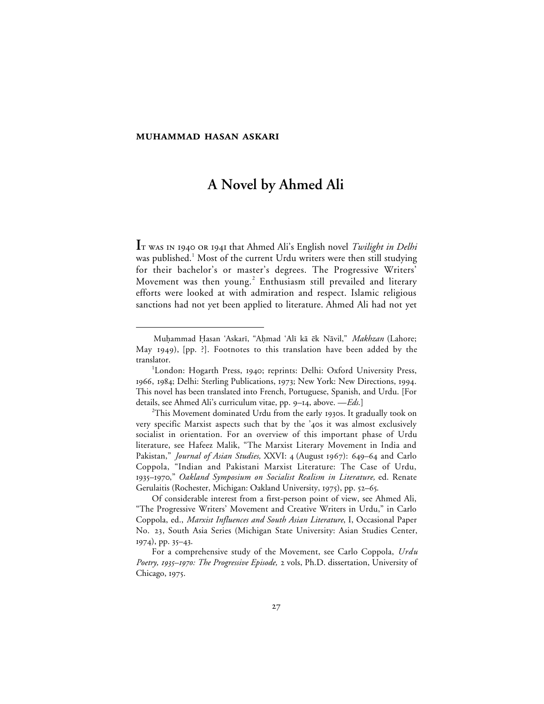#### **MUHAMMAD HASAN ASKARI**

 $\overline{a}$ 

# **A Novel by Ahmed Ali**

**I**T WAS IN 1940 OR 1941 that Ahmed Ali's English novel *Twilight in Delhi* was published.<sup>1</sup> Most of the current Urdu writers were then still studying for their bachelor's or master's degrees. The Progressive Writers' Movement was then young.<sup>2</sup> Enthusiasm still prevailed and literary efforts were looked at with admiration and respect. Islamic religious sanctions had not yet been applied to literature. Ahmed Ali had not yet

Muhammad Hasan 'Askarī, "Aḥmad 'Alī kā ēk Nāvil," *Makhzan* (Lahore; May 1949),  $[pp. ?]$ . Footnotes to this translation have been added by the translator.

<sup>&</sup>lt;sup>1</sup>London: Hogarth Press, 1940; reprints: Delhi: Oxford University Press, 1966, 1984; Delhi: Sterling Publications, 1973; New York: New Directions, 1994. This novel has been translated into French, Portuguese, Spanish, and Urdu. [For details, see Ahmed Ali's curriculum vitae, pp. 9–14, above. — *Eds*.]

 $^{2}$ This Movement dominated Urdu from the early 1930s. It gradually took on very specific Marxist aspects such that by the '40s it was almost exclusively socialist in orientation. For an overview of this important phase of Urdu literature, see Hafeez Malik, "The Marxist Literary Movement in India and Pakistan," *Journal of Asian Studies*, XXVI: 4 (August 1967): 649–64 and Carlo Coppola, "Indian and Pakistani Marxist Literature: The Case of Urdu, –," *Oakland Symposium on Socialist Realism in Literature,* ed. Renate Gerulaitis (Rochester, Michigan: Oakland University, 1975), pp. 52-65.

Of considerable interest from a first-person point of view, see Ahmed Ali, "The Progressive Writers' Movement and Creative Writers in Urdu," in Carlo Coppola, ed., *Marxist Influences and South Asian Literature*, I, Occasional Paper No. 23, South Asia Series (Michigan State University: Asian Studies Center,  $1974$ , pp.  $35-43$ .

For a comprehensive study of the Movement, see Carlo Coppola, *Urdu Poetry, 1935–1970: The Progressive Episode,* 2 vols, Ph.D. dissertation, University of Chicago, 1975.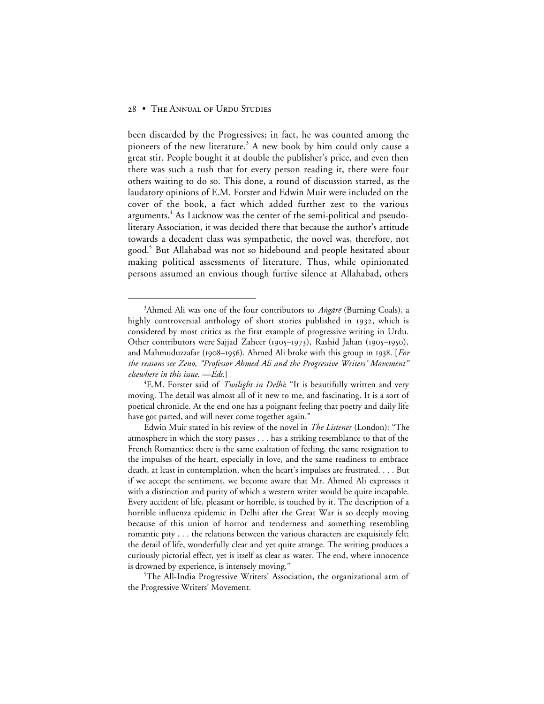been discarded by the Progressives; in fact, he was counted among the pioneers of the new literature.<sup>3</sup> A new book by him could only cause a great stir. People bought it at double the publisher's price, and even then there was such a rush that for every person reading it, there were four others waiting to do so. This done, a round of discussion started, as the laudatory opinions of E.M. Forster and Edwin Muir were included on the cover of the book, a fact which added further zest to the various arguments.<sup>4</sup> As Lucknow was the center of the semi-political and pseudoliterary Association, it was decided there that because the author's attitude towards a decadent class was sympathetic, the novel was, therefore, not good.<sup>5</sup> But Allahabad was not so hidebound and people hesitated about making political assessments of literature. Thus, while opinionated persons assumed an envious though furtive silence at Allahabad, others

 $\frac{1}{3}$ <sup>3</sup>Ahmed Ali was one of the four contributors to Angare<sup>®</sup> (Burning Coals), a highly controversial anthology of short stories published in 1932, which is considered by most critics as the first example of progressive writing in Urdu. Other contributors were Sajjad Zaheer (1905–1973), Rashid Jahan (1905–1950), and Mahmuduzzafar (1908–1956). Ahmed Ali broke with this group in 1938. [For *the reasons see Zeno, "Professor Ahmed Ali and the Progressive Writers' Movement" elsewhere in this issue. —Eds.*]

<sup>4</sup> E.M. Forster said of *Twilight in Delhi*: "It is beautifully written and very moving. The detail was almost all of it new to me, and fascinating. It is a sort of poetical chronicle. At the end one has a poignant feeling that poetry and daily life have got parted, and will never come together again."

Edwin Muir stated in his review of the novel in *The Listener* (London): "The atmosphere in which the story passes . . . has a striking resemblance to that of the French Romantics: there is the same exaltation of feeling, the same resignation to the impulses of the heart, especially in love, and the same readiness to embrace death, at least in contemplation, when the heart's impulses are frustrated. . . . But if we accept the sentiment, we become aware that Mr. Ahmed Ali expresses it with a distinction and purity of which a western writer would be quite incapable. Every accident of life, pleasant or horrible, is touched by it. The description of a horrible influenza epidemic in Delhi after the Great War is so deeply moving because of this union of horror and tenderness and something resembling romantic pity . . . the relations between the various characters are exquisitely felt; the detail of life, wonderfully clear and yet quite strange. The writing produces a curiously pictorial effect, yet is itself as clear as water. The end, where innocence is drowned by experience, is intensely moving."

<sup>5</sup> The All-India Progressive Writers' Association, the organizational arm of the Progressive Writers' Movement.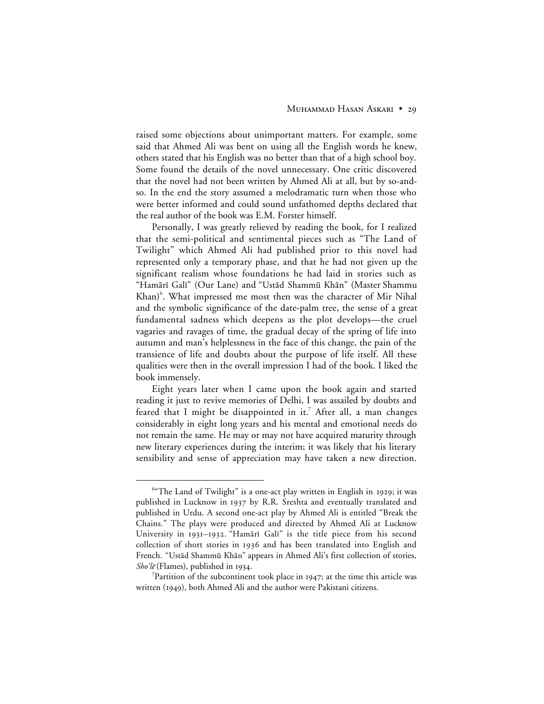#### MUHAMMAD HASAN ASKARI • 29

raised some objections about unimportant matters. For example, some said that Ahmed Ali was bent on using all the English words he knew, others stated that his English was no better than that of a high school boy. Some found the details of the novel unnecessary. One critic discovered that the novel had not been written by Ahmed Ali at all, but by so-andso. In the end the story assumed a melodramatic turn when those who were better informed and could sound unfathomed depths declared that the real author of the book was E.M. Forster himself.

Personally, I was greatly relieved by reading the book, for I realized that the semi-political and sentimental pieces such as "The Land of Twilight" which Ahmed Ali had published prior to this novel had represented only a temporary phase, and that he had not given up the significant realism whose foundations he had laid in stories such as "Hamārī Galī" (Our Lane) and "Ustād Shammū Khān" (Master Shammu Khan)<sup>6</sup>. What impressed me most then was the character of Mir Nihal and the symbolic significance of the date-palm tree, the sense of a great fundamental sadness which deepens as the plot develops—the cruel vagaries and ravages of time, the gradual decay of the spring of life into autumn and man's helplessness in the face of this change, the pain of the transience of life and doubts about the purpose of life itself. All these qualities were then in the overall impression I had of the book. I liked the book immensely.

Eight years later when I came upon the book again and started reading it just to revive memories of Delhi, I was assailed by doubts and feared that I might be disappointed in it.<sup>7</sup> After all, a man changes considerably in eight long years and his mental and emotional needs do not remain the same. He may or may not have acquired maturity through new literary experiences during the interim; it was likely that his literary sensibility and sense of appreciation may have taken a new direction.

 <sup>6</sup>  $64$ <sup>6 $4$ </sup>The Land of Twilight" is a one-act play written in English in 1929; it was published in Lucknow in 1937 by R.R. Sreshta and eventually translated and published in Urdu. A second one-act play by Ahmed Ali is entitled "Break the Chains." The plays were produced and directed by Ahmed Ali at Lucknow University in 1931-1932. "Hamārī Galī" is the title piece from his second collection of short stories in 1936 and has been translated into English and French. "Ustād Shammū Khān" appears in Ahmed Ali's first collection of stories,  $Sho'$ lē (Flames), published in 1934.

 $7$ Partition of the subcontinent took place in 1947; at the time this article was written (1949), both Ahmed Ali and the author were Pakistani citizens.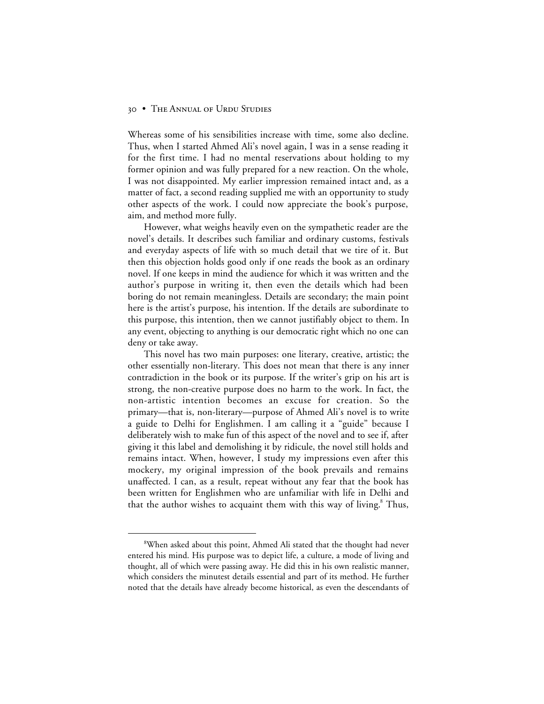Whereas some of his sensibilities increase with time, some also decline. Thus, when I started Ahmed Ali's novel again, I was in a sense reading it for the first time. I had no mental reservations about holding to my former opinion and was fully prepared for a new reaction. On the whole, I was not disappointed. My earlier impression remained intact and, as a matter of fact, a second reading supplied me with an opportunity to study other aspects of the work. I could now appreciate the book's purpose, aim, and method more fully.

However, what weighs heavily even on the sympathetic reader are the novel's details. It describes such familiar and ordinary customs, festivals and everyday aspects of life with so much detail that we tire of it. But then this objection holds good only if one reads the book as an ordinary novel. If one keeps in mind the audience for which it was written and the author's purpose in writing it, then even the details which had been boring do not remain meaningless. Details are secondary; the main point here is the artist's purpose, his intention. If the details are subordinate to this purpose, this intention, then we cannot justifiably object to them. In any event, objecting to anything is our democratic right which no one can deny or take away.

This novel has two main purposes: one literary, creative, artistic; the other essentially non-literary. This does not mean that there is any inner contradiction in the book or its purpose. If the writer's grip on his art is strong, the non-creative purpose does no harm to the work. In fact, the non-artistic intention becomes an excuse for creation. So the primary—that is, non-literary—purpose of Ahmed Ali's novel is to write a guide to Delhi for Englishmen. I am calling it a "guide" because I deliberately wish to make fun of this aspect of the novel and to see if, after giving it this label and demolishing it by ridicule, the novel still holds and remains intact. When, however, I study my impressions even after this mockery, my original impression of the book prevails and remains unaffected. I can, as a result, repeat without any fear that the book has been written for Englishmen who are unfamiliar with life in Delhi and that the author wishes to acquaint them with this way of living.<sup>8</sup> Thus,

 <sup>8</sup> When asked about this point, Ahmed Ali stated that the thought had never entered his mind. His purpose was to depict life, a culture, a mode of living and thought, all of which were passing away. He did this in his own realistic manner, which considers the minutest details essential and part of its method. He further noted that the details have already become historical, as even the descendants of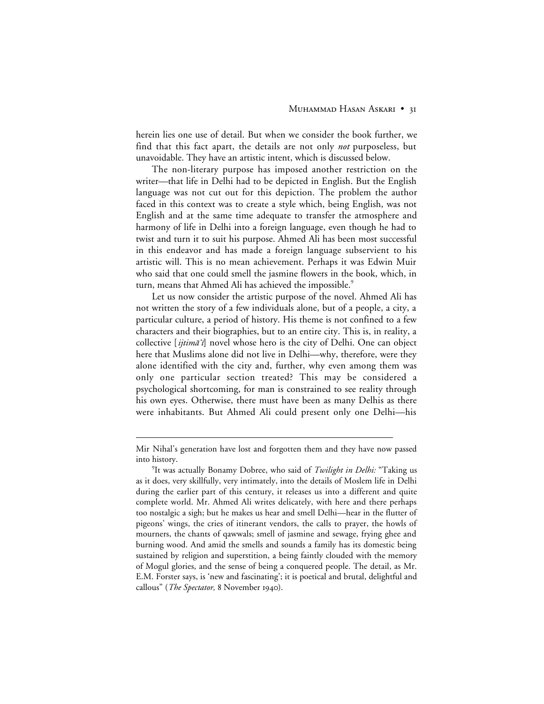herein lies one use of detail. But when we consider the book further, we find that this fact apart, the details are not only *not* purposeless, but unavoidable. They have an artistic intent, which is discussed below.

The non-literary purpose has imposed another restriction on the writer—that life in Delhi had to be depicted in English. But the English language was not cut out for this depiction. The problem the author faced in this context was to create a style which, being English, was not English and at the same time adequate to transfer the atmosphere and harmony of life in Delhi into a foreign language, even though he had to twist and turn it to suit his purpose. Ahmed Ali has been most successful in this endeavor and has made a foreign language subservient to his artistic will. This is no mean achievement. Perhaps it was Edwin Muir who said that one could smell the jasmine flowers in the book, which, in turn, means that Ahmed Ali has achieved the impossible.<sup>9</sup>

Let us now consider the artistic purpose of the novel. Ahmed Ali has not written the story of a few individuals alone, but of a people, a city, a particular culture, a period of history. His theme is not confined to a few characters and their biographies, but to an entire city. This is, in reality, a collective [ijtimā'i] novel whose hero is the city of Delhi. One can object here that Muslims alone did not live in Delhi—why, therefore, were they alone identified with the city and, further, why even among them was only one particular section treated? This may be considered a psychological shortcoming, for man is constrained to see reality through his own eyes. Otherwise, there must have been as many Delhis as there were inhabitants. But Ahmed Ali could present only one Delhi—his

 $\overline{a}$ 

Mir Nihal's generation have lost and forgotten them and they have now passed into history.

<sup>9</sup> It was actually Bonamy Dobree, who said of *Twilight in Delhi:* "Taking us as it does, very skillfully, very intimately, into the details of Moslem life in Delhi during the earlier part of this century, it releases us into a different and quite complete world. Mr. Ahmed Ali writes delicately, with here and there perhaps too nostalgic a sigh; but he makes us hear and smell Delhi—hear in the flutter of pigeons' wings, the cries of itinerant vendors, the calls to prayer, the howls of mourners, the chants of qawwals; smell of jasmine and sewage, frying ghee and burning wood. And amid the smells and sounds a family has its domestic being sustained by religion and superstition, a being faintly clouded with the memory of Mogul glories, and the sense of being a conquered people. The detail, as Mr. E.M. Forster says, is 'new and fascinating'; it is poetical and brutal, delightful and callous" (*The Spectator*, 8 November 1940).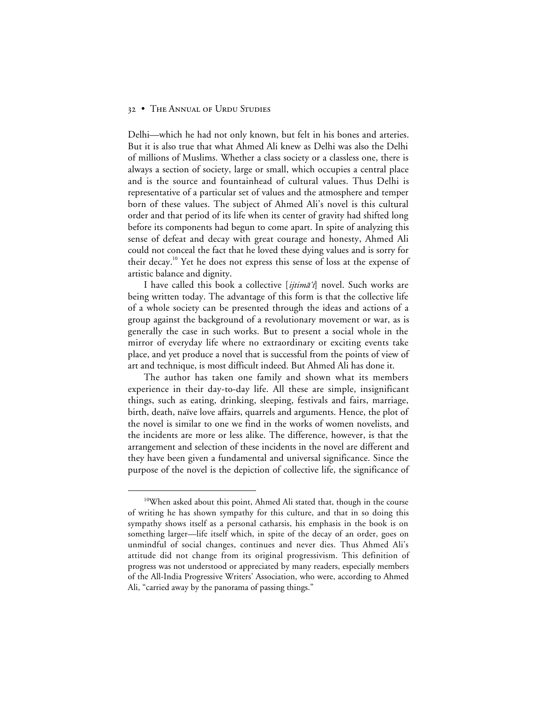Delhi—which he had not only known, but felt in his bones and arteries. But it is also true that what Ahmed Ali knew as Delhi was also the Delhi of millions of Muslims. Whether a class society or a classless one, there is always a section of society, large or small, which occupies a central place and is the source and fountainhead of cultural values. Thus Delhi is representative of a particular set of values and the atmosphere and temper born of these values. The subject of Ahmed Ali's novel is this cultural order and that period of its life when its center of gravity had shifted long before its components had begun to come apart. In spite of analyzing this sense of defeat and decay with great courage and honesty, Ahmed Ali could not conceal the fact that he loved these dying values and is sorry for their decay.<sup>10</sup> Yet he does not express this sense of loss at the expense of artistic balance and dignity.

I have called this book a collective [ijtim $\bar{a}$ 'i] novel. Such works are being written today. The advantage of this form is that the collective life of a whole society can be presented through the ideas and actions of a group against the background of a revolutionary movement or war, as is generally the case in such works. But to present a social whole in the mirror of everyday life where no extraordinary or exciting events take place, and yet produce a novel that is successful from the points of view of art and technique, is most difficult indeed. But Ahmed Ali has done it.

The author has taken one family and shown what its members experience in their day-to-day life. All these are simple, insignificant things, such as eating, drinking, sleeping, festivals and fairs, marriage, birth, death, naïve love affairs, quarrels and arguments. Hence, the plot of the novel is similar to one we find in the works of women novelists, and the incidents are more or less alike. The difference, however, is that the arrangement and selection of these incidents in the novel are different and they have been given a fundamental and universal significance. Since the purpose of the novel is the depiction of collective life, the significance of

<sup>&</sup>lt;sup>10</sup>When asked about this point, Ahmed Ali stated that, though in the course of writing he has shown sympathy for this culture, and that in so doing this sympathy shows itself as a personal catharsis, his emphasis in the book is on something larger—life itself which, in spite of the decay of an order, goes on unmindful of social changes, continues and never dies. Thus Ahmed Ali's attitude did not change from its original progressivism. This definition of progress was not understood or appreciated by many readers, especially members of the All-India Progressive Writers' Association, who were, according to Ahmed Ali, "carried away by the panorama of passing things."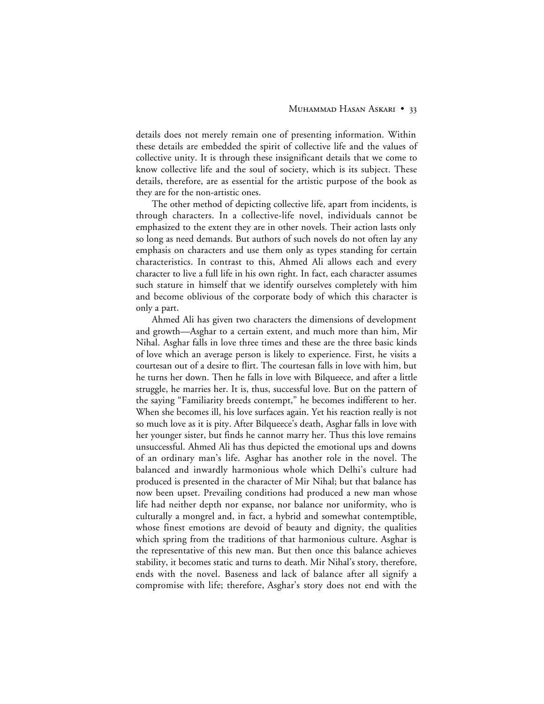details does not merely remain one of presenting information. Within these details are embedded the spirit of collective life and the values of collective unity. It is through these insignificant details that we come to know collective life and the soul of society, which is its subject. These details, therefore, are as essential for the artistic purpose of the book as they are for the non-artistic ones.

The other method of depicting collective life, apart from incidents, is through characters. In a collective-life novel, individuals cannot be emphasized to the extent they are in other novels. Their action lasts only so long as need demands. But authors of such novels do not often lay any emphasis on characters and use them only as types standing for certain characteristics. In contrast to this, Ahmed Ali allows each and every character to live a full life in his own right. In fact, each character assumes such stature in himself that we identify ourselves completely with him and become oblivious of the corporate body of which this character is only a part.

Ahmed Ali has given two characters the dimensions of development and growth—Asghar to a certain extent, and much more than him, Mir Nihal. Asghar falls in love three times and these are the three basic kinds of love which an average person is likely to experience. First, he visits a courtesan out of a desire to flirt. The courtesan falls in love with him, but he turns her down. Then he falls in love with Bilqueece, and after a little struggle, he marries her. It is, thus, successful love. But on the pattern of the saying "Familiarity breeds contempt," he becomes indifferent to her. When she becomes ill, his love surfaces again. Yet his reaction really is not so much love as it is pity. After Bilqueece's death, Asghar falls in love with her younger sister, but finds he cannot marry her. Thus this love remains unsuccessful. Ahmed Ali has thus depicted the emotional ups and downs of an ordinary man's life. Asghar has another role in the novel. The balanced and inwardly harmonious whole which Delhi's culture had produced is presented in the character of Mir Nihal; but that balance has now been upset. Prevailing conditions had produced a new man whose life had neither depth nor expanse, nor balance nor uniformity, who is culturally a mongrel and, in fact, a hybrid and somewhat contemptible, whose finest emotions are devoid of beauty and dignity, the qualities which spring from the traditions of that harmonious culture. Asghar is the representative of this new man. But then once this balance achieves stability, it becomes static and turns to death. Mir Nihal's story, therefore, ends with the novel. Baseness and lack of balance after all signify a compromise with life; therefore, Asghar's story does not end with the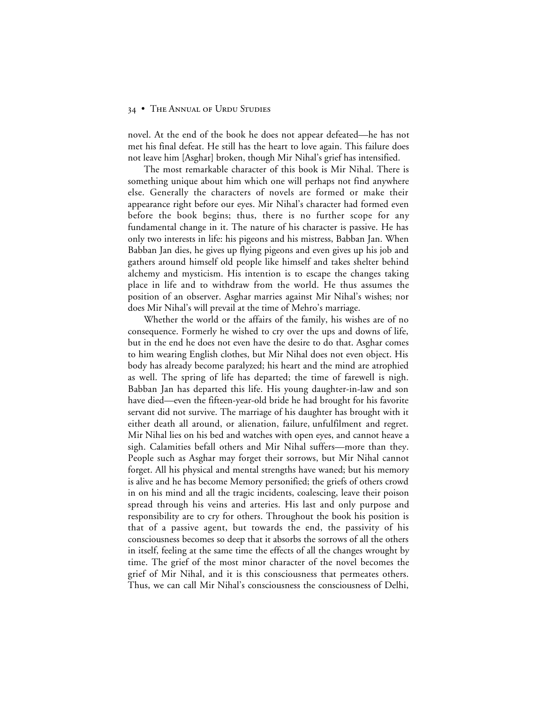novel. At the end of the book he does not appear defeated—he has not met his final defeat. He still has the heart to love again. This failure does not leave him [Asghar] broken, though Mir Nihal's grief has intensified.

The most remarkable character of this book is Mir Nihal. There is something unique about him which one will perhaps not find anywhere else. Generally the characters of novels are formed or make their appearance right before our eyes. Mir Nihal's character had formed even before the book begins; thus, there is no further scope for any fundamental change in it. The nature of his character is passive. He has only two interests in life: his pigeons and his mistress, Babban Jan. When Babban Jan dies, he gives up flying pigeons and even gives up his job and gathers around himself old people like himself and takes shelter behind alchemy and mysticism. His intention is to escape the changes taking place in life and to withdraw from the world. He thus assumes the position of an observer. Asghar marries against Mir Nihal's wishes; nor does Mir Nihal's will prevail at the time of Mehro's marriage.

Whether the world or the affairs of the family, his wishes are of no consequence. Formerly he wished to cry over the ups and downs of life, but in the end he does not even have the desire to do that. Asghar comes to him wearing English clothes, but Mir Nihal does not even object. His body has already become paralyzed; his heart and the mind are atrophied as well. The spring of life has departed; the time of farewell is nigh. Babban Jan has departed this life. His young daughter-in-law and son have died—even the fifteen-year-old bride he had brought for his favorite servant did not survive. The marriage of his daughter has brought with it either death all around, or alienation, failure, unfulfilment and regret. Mir Nihal lies on his bed and watches with open eyes, and cannot heave a sigh. Calamities befall others and Mir Nihal suffers—more than they. People such as Asghar may forget their sorrows, but Mir Nihal cannot forget. All his physical and mental strengths have waned; but his memory is alive and he has become Memory personified; the griefs of others crowd in on his mind and all the tragic incidents, coalescing, leave their poison spread through his veins and arteries. His last and only purpose and responsibility are to cry for others. Throughout the book his position is that of a passive agent, but towards the end, the passivity of his consciousness becomes so deep that it absorbs the sorrows of all the others in itself, feeling at the same time the effects of all the changes wrought by time. The grief of the most minor character of the novel becomes the grief of Mir Nihal, and it is this consciousness that permeates others. Thus, we can call Mir Nihal's consciousness the consciousness of Delhi,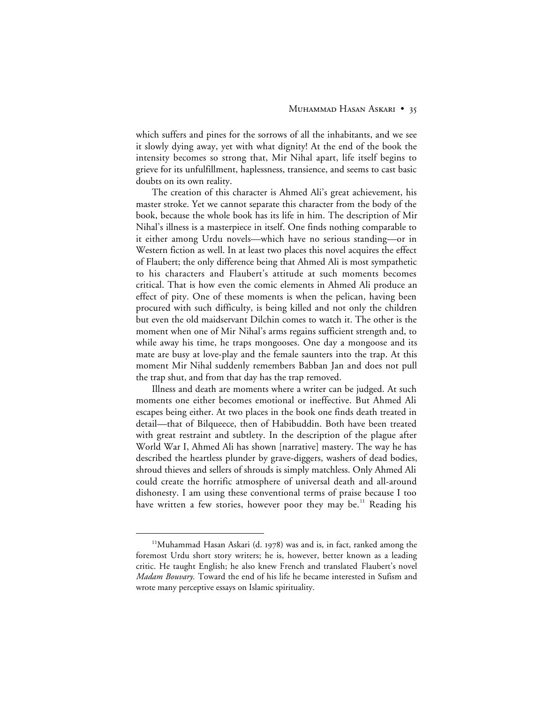which suffers and pines for the sorrows of all the inhabitants, and we see it slowly dying away, yet with what dignity! At the end of the book the intensity becomes so strong that, Mir Nihal apart, life itself begins to grieve for its unfulfillment, haplessness, transience, and seems to cast basic doubts on its own reality.

The creation of this character is Ahmed Ali's great achievement, his master stroke. Yet we cannot separate this character from the body of the book, because the whole book has its life in him. The description of Mir Nihal's illness is a masterpiece in itself. One finds nothing comparable to it either among Urdu novels—which have no serious standing—or in Western fiction as well. In at least two places this novel acquires the effect of Flaubert; the only difference being that Ahmed Ali is most sympathetic to his characters and Flaubert's attitude at such moments becomes critical. That is how even the comic elements in Ahmed Ali produce an effect of pity. One of these moments is when the pelican, having been procured with such difficulty, is being killed and not only the children but even the old maidservant Dilchin comes to watch it. The other is the moment when one of Mir Nihal's arms regains sufficient strength and, to while away his time, he traps mongooses. One day a mongoose and its mate are busy at love-play and the female saunters into the trap. At this moment Mir Nihal suddenly remembers Babban Jan and does not pull the trap shut, and from that day has the trap removed.

Illness and death are moments where a writer can be judged. At such moments one either becomes emotional or ineffective. But Ahmed Ali escapes being either. At two places in the book one finds death treated in detail—that of Bilqueece, then of Habibuddin. Both have been treated with great restraint and subtlety. In the description of the plague after World War I, Ahmed Ali has shown [narrative] mastery. The way he has described the heartless plunder by grave-diggers, washers of dead bodies, shroud thieves and sellers of shrouds is simply matchless. Only Ahmed Ali could create the horrific atmosphere of universal death and all-around dishonesty. I am using these conventional terms of praise because I too have written a few stories, however poor they may be.<sup>11</sup> Reading his

<sup>&</sup>lt;sup>11</sup>Muhammad Hasan Askari (d. 1978) was and is, in fact, ranked among the foremost Urdu short story writers; he is, however, better known as a leading critic. He taught English; he also knew French and translated Flaubert's novel *Madam Bouvary.* Toward the end of his life he became interested in Sufism and wrote many perceptive essays on Islamic spirituality.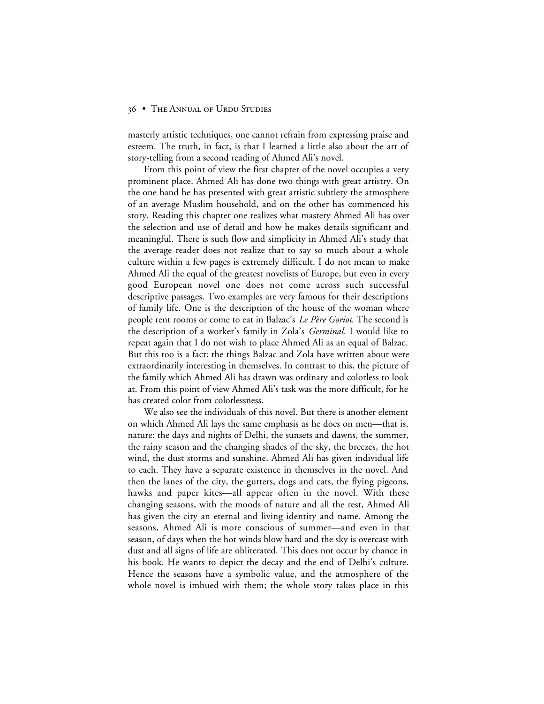masterly artistic techniques, one cannot refrain from expressing praise and esteem. The truth, in fact, is that I learned a little also about the art of story-telling from a second reading of Ahmed Ali's novel.

From this point of view the first chapter of the novel occupies a very prominent place. Ahmed Ali has done two things with great artistry. On the one hand he has presented with great artistic subtlety the atmosphere of an average Muslim household, and on the other has commenced his story. Reading this chapter one realizes what mastery Ahmed Ali has over the selection and use of detail and how he makes details significant and meaningful. There is such flow and simplicity in Ahmed Ali's study that the average reader does not realize that to say so much about a whole culture within a few pages is extremely difficult. I do not mean to make Ahmed Ali the equal of the greatest novelists of Europe, but even in every good European novel one does not come across such successful descriptive passages. Two examples are very famous for their descriptions of family life. One is the description of the house of the woman where people rent rooms or come to eat in Balzac's *Le Père Goriot*. The second is the description of a worker's family in Zola's *Germinal*. I would like to repeat again that I do not wish to place Ahmed Ali as an equal of Balzac. But this too is a fact: the things Balzac and Zola have written about were extraordinarily interesting in themselves. In contrast to this, the picture of the family which Ahmed Ali has drawn was ordinary and colorless to look at. From this point of view Ahmed Ali's task was the more difficult, for he has created color from colorlessness.

We also see the individuals of this novel. But there is another element on which Ahmed Ali lays the same emphasis as he does on men—that is, nature: the days and nights of Delhi, the sunsets and dawns, the summer, the rainy season and the changing shades of the sky, the breezes, the hot wind, the dust storms and sunshine. Ahmed Ali has given individual life to each. They have a separate existence in themselves in the novel. And then the lanes of the city, the gutters, dogs and cats, the flying pigeons, hawks and paper kites—all appear often in the novel. With these changing seasons, with the moods of nature and all the rest, Ahmed Ali has given the city an eternal and living identity and name. Among the seasons, Ahmed Ali is more conscious of summer—and even in that season, of days when the hot winds blow hard and the sky is overcast with dust and all signs of life are obliterated. This does not occur by chance in his book. He wants to depict the decay and the end of Delhi's culture. Hence the seasons have a symbolic value, and the atmosphere of the whole novel is imbued with them; the whole story takes place in this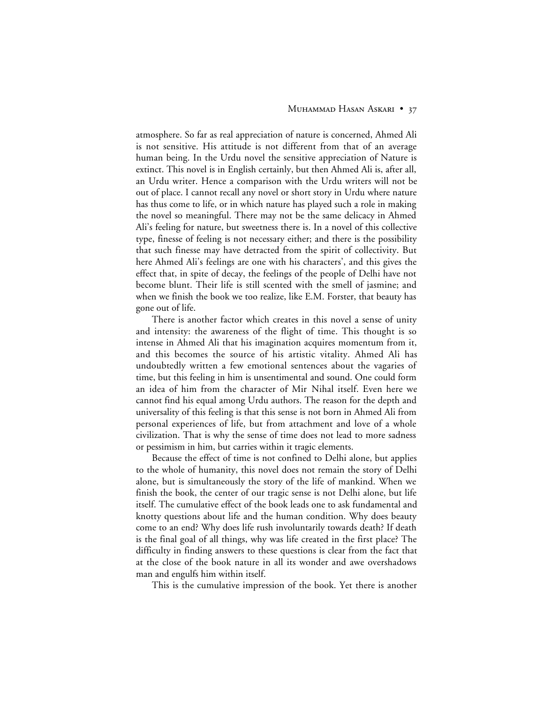#### MUHAMMAD HASAN ASKARI • 37

atmosphere. So far as real appreciation of nature is concerned, Ahmed Ali is not sensitive. His attitude is not different from that of an average human being. In the Urdu novel the sensitive appreciation of Nature is extinct. This novel is in English certainly, but then Ahmed Ali is, after all, an Urdu writer. Hence a comparison with the Urdu writers will not be out of place. I cannot recall any novel or short story in Urdu where nature has thus come to life, or in which nature has played such a role in making the novel so meaningful. There may not be the same delicacy in Ahmed Ali's feeling for nature, but sweetness there is. In a novel of this collective type, finesse of feeling is not necessary either; and there is the possibility that such finesse may have detracted from the spirit of collectivity. But here Ahmed Ali's feelings are one with his characters', and this gives the effect that, in spite of decay, the feelings of the people of Delhi have not become blunt. Their life is still scented with the smell of jasmine; and when we finish the book we too realize, like E.M. Forster, that beauty has gone out of life.

There is another factor which creates in this novel a sense of unity and intensity: the awareness of the flight of time. This thought is so intense in Ahmed Ali that his imagination acquires momentum from it, and this becomes the source of his artistic vitality. Ahmed Ali has undoubtedly written a few emotional sentences about the vagaries of time, but this feeling in him is unsentimental and sound. One could form an idea of him from the character of Mir Nihal itself. Even here we cannot find his equal among Urdu authors. The reason for the depth and universality of this feeling is that this sense is not born in Ahmed Ali from personal experiences of life, but from attachment and love of a whole civilization. That is why the sense of time does not lead to more sadness or pessimism in him, but carries within it tragic elements.

Because the effect of time is not confined to Delhi alone, but applies to the whole of humanity, this novel does not remain the story of Delhi alone, but is simultaneously the story of the life of mankind. When we finish the book, the center of our tragic sense is not Delhi alone, but life itself. The cumulative effect of the book leads one to ask fundamental and knotty questions about life and the human condition. Why does beauty come to an end? Why does life rush involuntarily towards death? If death is the final goal of all things, why was life created in the first place? The difficulty in finding answers to these questions is clear from the fact that at the close of the book nature in all its wonder and awe overshadows man and engulfs him within itself.

This is the cumulative impression of the book. Yet there is another